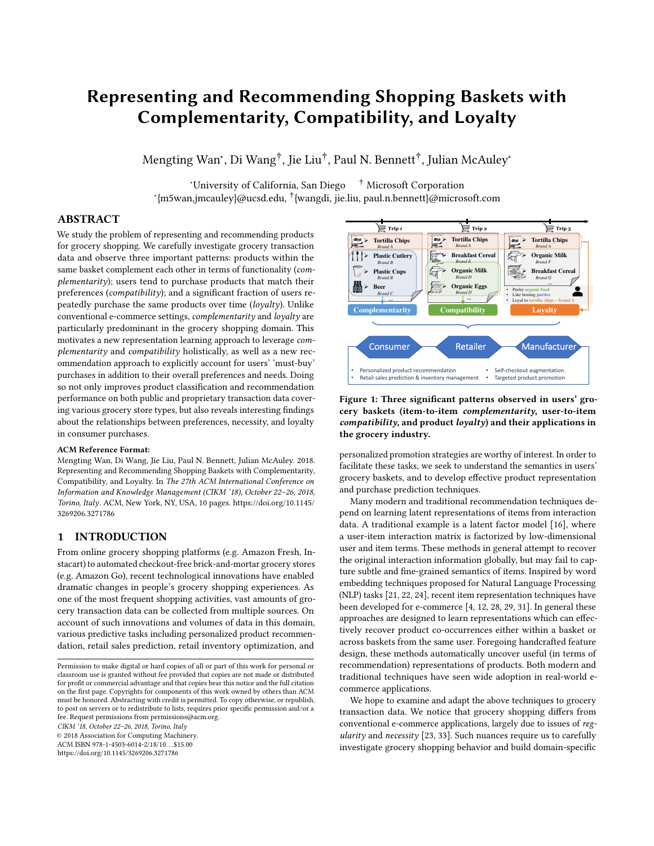# Representing and Recommending Shopping Baskets with Complementarity, Compatibility, and Loyalty

Mengting Wan<sup>∗</sup> , Di Wang†, Jie Liu†, Paul N. Bennett†, Julian McAuley<sup>∗</sup>

∗ University of California, San Diego † Microsoft Corporation ∗ {m5wan,jmcauley}@ucsd.edu, †{wangdi, jie.liu, paul.n.bennett}@microsoft.com

# ABSTRACT

We study the problem of representing and recommending products for grocery shopping. We carefully investigate grocery transaction data and observe three important patterns: products within the same basket complement each other in terms of functionality (*complementarity*); users tend to purchase products that match their preferences (*compatibility*); and a signifcant fraction of users repeatedly purchase the same products over time (*loyalty*). Unlike conventional e-commerce settings, *complementarity* and *loyalty* are particularly predominant in the grocery shopping domain. This motivates a new representation learning approach to leverage *complementarity* and *compatibility* holistically, as well as a new recommendation approach to explicitly account for users' 'must-buy' purchases in addition to their overall preferences and needs. Doing so not only improves product classifcation and recommendation performance on both public and proprietary transaction data covering various grocery store types, but also reveals interesting fndings about the relationships between preferences, necessity, and loyalty in consumer purchases.

#### ACM Reference Format:

Mengting Wan, Di Wang, Jie Liu, Paul N. Bennett, Julian McAuley. 2018. Representing and Recommending Shopping Baskets with Complementarity, Compatibility, and Loyalty. In *The 27th ACM International Conference on Information and Knowledge Management (CIKM '18), October 22–26, 2018, Torino, Italy.* ACM, New York, NY, USA, 10 pages. https://doi.org/10.1145/ 3269206.3271786

# 1 INTRODUCTION

From online grocery shopping platforms (e.g. Amazon Fresh, Instacart) to automated checkout-free brick-and-mortar grocery stores (e.g. Amazon Go), recent technological innovations have enabled dramatic changes in people's grocery shopping experiences. As one of the most frequent shopping activities, vast amounts of grocery transaction data can be collected from multiple sources. On account of such innovations and volumes of data in this domain, various predictive tasks including personalized product recommendation, retail sales prediction, retail inventory optimization, and

*CIKM '18, October 22–26, 2018, Torino, Italy*

© 2018 Association for Computing Machinery.

ACM ISBN 978-1-4503-6014-2/18/10. . . \$15.00 https://doi.org/10.1145/3269206.3271786

 $\overline{\mathbb{P}}$  Trip 1 Trip 3 Trip 3 Trip 3 Ø **Tortilla Chips** Ø **Tortilla Chips** Ø **Tortilla Chips** *Brand A Brand A Brand A* **Plastic Cutlery Breakfast Cerea** 衏 Ø **Organic Milk** *Brand F Brand B Brand E* **Breakfast Cerea Plastic Cups Organic Milk** *Brand D Brand G Brand B*  $\ket{10}$   $\triangleright$  Beer **Organic Eggs …** • Prefer **organic food** *Brand D Brand C* Like **h … Loyal** to **t … Complementarity Compatibility Loyalty** Consumer **Retailer Manufacture** • Personalized product recommendation • Self-checkout augmentation<br>• Targeted product promotion Retail sales prediction & inventory management Targeted product promotion

Figure 1: Three signifcant patterns observed in users' grocery baskets (item-to-item *complementarity*, user-to-item *compatibility*, and product *loyalty*) and their applications in the grocery industry.

personalized promotion strategies are worthy of interest. In order to facilitate these tasks, we seek to understand the semantics in users' grocery baskets, and to develop efective product representation and purchase prediction techniques.

Many modern and traditional recommendation techniques depend on learning latent representations of items from interaction data. A traditional example is a latent factor model [16], where a user-item interaction matrix is factorized by low-dimensional user and item terms. These methods in general attempt to recover the original interaction information globally, but may fail to capture subtle and fne-grained semantics of items. Inspired by word embedding techniques proposed for Natural Language Processing (NLP) tasks [21, 22, 24], recent item representation techniques have been developed for e-commerce [4, 12, 28, 29, 31]. In general these approaches are designed to learn representations which can efectively recover product co-occurrences either within a basket or across baskets from the same user. Foregoing handcrafted feature design, these methods automatically uncover useful (in terms of recommendation) representations of products. Both modern and traditional techniques have seen wide adoption in real-world ecommerce applications.

We hope to examine and adapt the above techniques to grocery transaction data. We notice that grocery shopping difers from conventional e-commerce applications, largely due to issues of *regularity* and *necessity* [23, 33]. Such nuances require us to carefully investigate grocery shopping behavior and build domain-specifc

Permission to make digital or hard copies of all or part of this work for personal or classroom use is granted without fee provided that copies are not made or distributed for proft or commercial advantage and that copies bear this notice and the full citation on the frst page. Copyrights for components of this work owned by others than ACM must be honored. Abstracting with credit is permitted. To copy otherwise, or republish, to post on servers or to redistribute to lists, requires prior specifc permission and/or a fee. Request permissions from permissions@acm.org.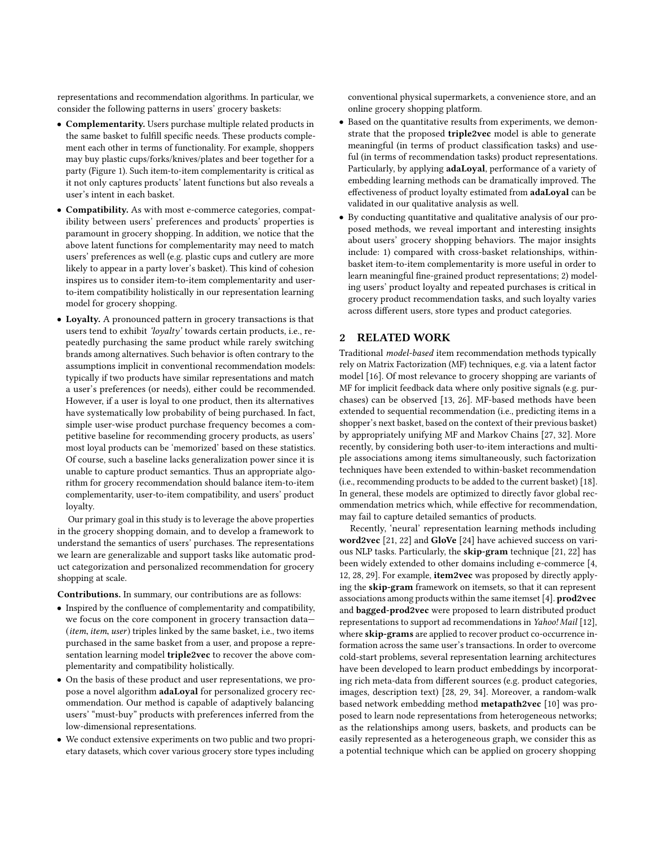representations and recommendation algorithms. In particular, we consider the following patterns in users' grocery baskets:

- Complementarity. Users purchase multiple related products in the same basket to fulfll specifc needs. These products complement each other in terms of functionality. For example, shoppers may buy plastic cups/forks/knives/plates and beer together for a party (Figure 1). Such item-to-item complementarity is critical as it not only captures products' latent functions but also reveals a user's intent in each basket.
- Compatibility. As with most e-commerce categories, compatibility between users' preferences and products' properties is paramount in grocery shopping. In addition, we notice that the above latent functions for complementarity may need to match users' preferences as well (e.g. plastic cups and cutlery are more likely to appear in a party lover's basket). This kind of cohesion inspires us to consider item-to-item complementarity and userto-item compatibility holistically in our representation learning model for grocery shopping.
- Loyalty. A pronounced pattern in grocery transactions is that users tend to exhibit *'loyalty'* towards certain products, i.e., repeatedly purchasing the same product while rarely switching brands among alternatives. Such behavior is often contrary to the assumptions implicit in conventional recommendation models: typically if two products have similar representations and match a user's preferences (or needs), either could be recommended. However, if a user is loyal to one product, then its alternatives have systematically low probability of being purchased. In fact, simple user-wise product purchase frequency becomes a competitive baseline for recommending grocery products, as users' most loyal products can be 'memorized' based on these statistics. Of course, such a baseline lacks generalization power since it is unable to capture product semantics. Thus an appropriate algorithm for grocery recommendation should balance item-to-item complementarity, user-to-item compatibility, and users' product loyalty.

Our primary goal in this study is to leverage the above properties in the grocery shopping domain, and to develop a framework to understand the semantics of users' purchases. The representations we learn are generalizable and support tasks like automatic product categorization and personalized recommendation for grocery shopping at scale.

Contributions. In summary, our contributions are as follows:

- Inspired by the confuence of complementarity and compatibility, we focus on the core component in grocery transaction data— (*item*, *item*, *user*) triples linked by the same basket, i.e., two items purchased in the same basket from a user, and propose a representation learning model triple2vec to recover the above complementarity and compatibility holistically.
- On the basis of these product and user representations, we propose a novel algorithm adaLoyal for personalized grocery recommendation. Our method is capable of adaptively balancing users' "must-buy" products with preferences inferred from the low-dimensional representations.
- We conduct extensive experiments on two public and two proprietary datasets, which cover various grocery store types including

conventional physical supermarkets, a convenience store, and an online grocery shopping platform.

- Based on the quantitative results from experiments, we demonstrate that the proposed triple2vec model is able to generate meaningful (in terms of product classifcation tasks) and useful (in terms of recommendation tasks) product representations. Particularly, by applying adaLoyal, performance of a variety of embedding learning methods can be dramatically improved. The efectiveness of product loyalty estimated from adaLoyal can be validated in our qualitative analysis as well.
- By conducting quantitative and qualitative analysis of our proposed methods, we reveal important and interesting insights about users' grocery shopping behaviors. The major insights include: 1) compared with cross-basket relationships, withinbasket item-to-item complementarity is more useful in order to learn meaningful fne-grained product representations; 2) modeling users' product loyalty and repeated purchases is critical in grocery product recommendation tasks, and such loyalty varies across diferent users, store types and product categories.

## 2 RELATED WORK

Traditional *model-based* item recommendation methods typically rely on Matrix Factorization (MF) techniques, e.g. via a latent factor model [16]. Of most relevance to grocery shopping are variants of MF for implicit feedback data where only positive signals (e.g. purchases) can be observed [13, 26]. MF-based methods have been extended to sequential recommendation (i.e., predicting items in a shopper's next basket, based on the context of their previous basket) by appropriately unifying MF and Markov Chains [27, 32]. More recently, by considering both user-to-item interactions and multiple associations among items simultaneously, such factorization techniques have been extended to within-basket recommendation (i.e., recommending products to be added to the current basket) [18]. In general, these models are optimized to directly favor global recommendation metrics which, while efective for recommendation, may fail to capture detailed semantics of products.

Recently, 'neural' representation learning methods including word2vec [21, 22] and GloVe [24] have achieved success on various NLP tasks. Particularly, the skip-gram technique [21, 22] has been widely extended to other domains including e-commerce [4, 12, 28, 29]. For example, item2vec was proposed by directly applying the skip-gram framework on itemsets, so that it can represent associations among products within the same itemset [4]. prod2vec and bagged-prod2vec were proposed to learn distributed product representations to support ad recommendations in *Yahoo! Mail* [12], where skip-grams are applied to recover product co-occurrence information across the same user's transactions. In order to overcome cold-start problems, several representation learning architectures have been developed to learn product embeddings by incorporating rich meta-data from diferent sources (e.g. product categories, images, description text) [28, 29, 34]. Moreover, a random-walk based network embedding method metapath2vec [10] was proposed to learn node representations from heterogeneous networks; as the relationships among users, baskets, and products can be easily represented as a heterogeneous graph, we consider this as a potential technique which can be applied on grocery shopping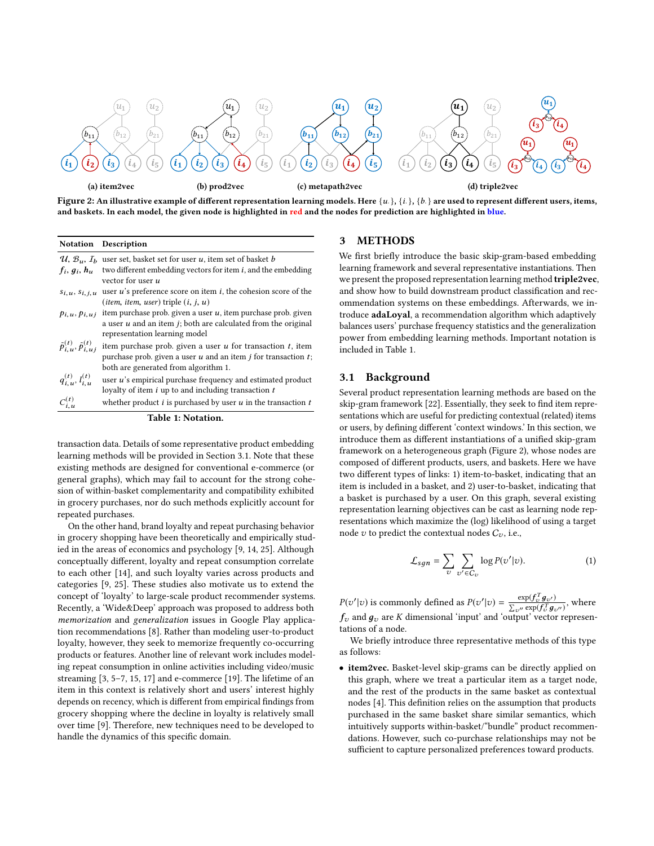

Figure 2: An illustrative example of diferent representation learning models. Here {*u*· }, {*i*· }, {*b*· } are used to represent diferent users, items, and baskets. In each model, the given node is highlighted in red and the nodes for prediction are highlighted in blue.

#### Notation Description

| $C_{i,u}^{(t)}$                                | whether product $i$ is purchased by user $u$ in the transaction $t$<br>Table 1: Notation.                                                                                        |
|------------------------------------------------|----------------------------------------------------------------------------------------------------------------------------------------------------------------------------------|
|                                                | loyalty of item $i$ up to and including transaction $t$                                                                                                                          |
| $q_{i,u}^{(t)}, l_{i,u}^{(t)}$                 | user u's empirical purchase frequency and estimated product                                                                                                                      |
| $\tilde{p}_{i,u}^{(t)}, \tilde{p}_{i,u}^{(t)}$ | item purchase prob. given a user $u$ for transaction $t$ , item<br>purchase prob. given a user $u$ and an item $j$ for transaction $t$ ;<br>both are generated from algorithm 1. |
|                                                | a user $u$ and an item $j$ ; both are calculated from the original<br>representation learning model                                                                              |
| $p_{i,u}, p_{i,u}$                             | item purchase prob. given a user $u$ , item purchase prob. given                                                                                                                 |
|                                                | ( <i>item, item, user</i> ) triple $(i, j, u)$                                                                                                                                   |
| $s_{i,u}, s_{i,j,u}$                           | vector for user u<br>user $u$ 's preference score on item $i$ , the cohesion score of the                                                                                        |
| $f_i, g_i, h_u$                                | $\mathcal{U}, \mathcal{B}_u, I_h$ user set, basket set for user u, item set of basket b<br>two different embedding vectors for item $i$ , and the embedding                      |
|                                                |                                                                                                                                                                                  |

transaction data. Details of some representative product embedding learning methods will be provided in Section 3.1. Note that these existing methods are designed for conventional e-commerce (or general graphs), which may fail to account for the strong cohesion of within-basket complementarity and compatibility exhibited in grocery purchases, nor do such methods explicitly account for repeated purchases.

On the other hand, brand loyalty and repeat purchasing behavior in grocery shopping have been theoretically and empirically studied in the areas of economics and psychology [9, 14, 25]. Although conceptually diferent, loyalty and repeat consumption correlate to each other [14], and such loyalty varies across products and categories [9, 25]. These studies also motivate us to extend the concept of 'loyalty' to large-scale product recommender systems. Recently, a 'Wide&Deep' approach was proposed to address both *memorization* and *generalization* issues in Google Play application recommendations [8]. Rather than modeling user-to-product loyalty, however, they seek to memorize frequently co-occurring products or features. Another line of relevant work includes modeling repeat consumption in online activities including video/music streaming [3, 5–7, 15, 17] and e-commerce [19]. The lifetime of an item in this context is relatively short and users' interest highly depends on recency, which is diferent from empirical fndings from grocery shopping where the decline in loyalty is relatively small over time [9]. Therefore, new techniques need to be developed to handle the dynamics of this specifc domain.

## 3 METHODS

We first briefly introduce the basic skip-gram-based embedding learning framework and several representative instantiations. Then we present the proposed representation learning method triple2vec, and show how to build downstream product classifcation and recommendation systems on these embeddings. Afterwards, we introduce adaLoyal, a recommendation algorithm which adaptively balances users' purchase frequency statistics and the generalization power from embedding learning methods. Important notation is included in Table 1.

#### 3.1 Background

Several product representation learning methods are based on the skip-gram framework [22]. Essentially, they seek to fnd item representations which are useful for predicting contextual (related) items or users, by defning diferent 'context windows.' In this section, we introduce them as diferent instantiations of a unifed skip-gram framework on a heterogeneous graph (Figure 2), whose nodes are composed of diferent products, users, and baskets. Here we have two diferent types of links: 1) item-to-basket, indicating that an item is included in a basket, and 2) user-to-basket, indicating that a basket is purchased by a user. On this graph, several existing representation learning objectives can be cast as learning node representations which maximize the (log) likelihood of using a target node v to predict the contextual nodes  $C_v$ , i.e.,

$$
\mathcal{L}_{sgn} = \sum_{v} \sum_{v' \in C_v} \log P(v'|v). \tag{1}
$$

 $P(v'|v)$  is commonly defined as  $P(v'|v) = \frac{\exp(f_v^T g_{v'}}{\sum_{v''} \exp(f_v^T g_{v''})}$ , where  $f_\upsilon$  and  $g_\upsilon$  are  $K$  dimensional 'input' and 'output' vector representations of a node.

We briefy introduce three representative methods of this type as follows:

• item2vec. Basket-level skip-grams can be directly applied on this graph, where we treat a particular item as a target node, and the rest of the products in the same basket as contextual nodes [4]. This defnition relies on the assumption that products purchased in the same basket share similar semantics, which intuitively supports within-basket/"bundle" product recommendations. However, such co-purchase relationships may not be sufficient to capture personalized preferences toward products.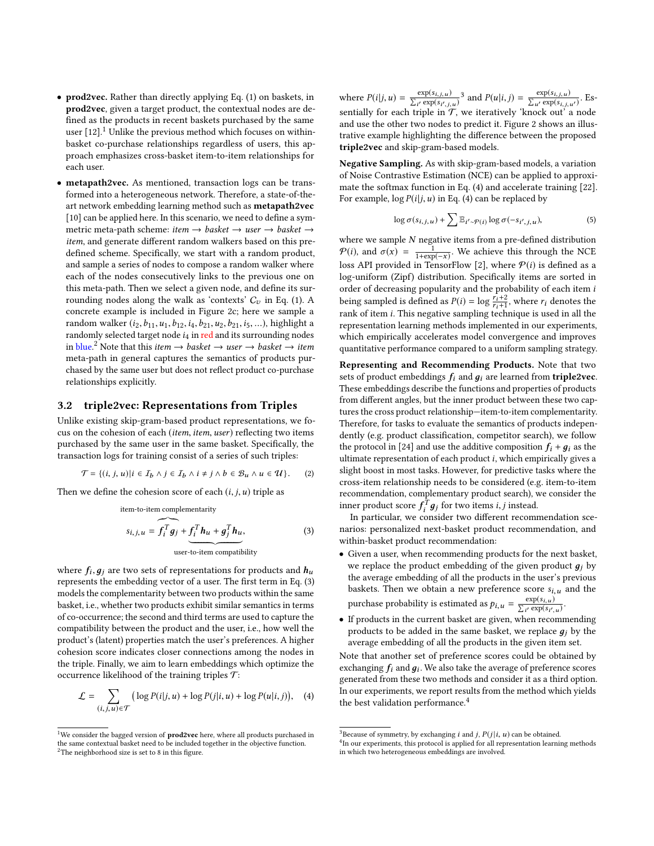- prod2vec. Rather than directly applying Eq. (1) on baskets, in prod2vec, given a target product, the contextual nodes are defned as the products in recent baskets purchased by the same user  $[12]$ <sup>1</sup>. Unlike the previous method which focuses on withinbasket co-purchase relationships regardless of users, this approach emphasizes cross-basket item-to-item relationships for each user.
- metapath2vec. As mentioned, transaction logs can be transformed into a heterogeneous network. Therefore, a state-of-theart network embedding learning method such as metapath2vec [10] can be applied here. In this scenario, we need to defne a symmetric meta-path scheme: *item* → *basket* → *user* → *basket* → *item*, and generate diferent random walkers based on this predefned scheme. Specifcally, we start with a random product, and sample a series of nodes to compose a random walker where each of the nodes consecutively links to the previous one on this meta-path. Then we select a given node, and defne its surrounding nodes along the walk as 'contexts'  $C_v$  in Eq. (1). A concrete example is included in Figure 2c; here we sample a random walker (*i*2,*b*11,*u*1,*b*12,*i*4,*b*21,*u*2,*b*21,*i*5, ...), highlight a randomly selected target node *i*4 in red and its surrounding nodes in blue.<sup>2</sup> Note that this *item* → *basket* → *user* → *basket* → *item* meta-path in general captures the semantics of products purchased by the same user but does not refect product co-purchase relationships explicitly.

#### 3.2 triple2vec: Representations from Triples

Unlike existing skip-gram-based product representations, we focus on the cohesion of each (*item*, *item*, *user*) refecting two items purchased by the same user in the same basket. Specifcally, the transaction logs for training consist of a series of such triples:

$$
\mathcal{T} = \{ (i, j, u) | i \in I_b \land j \in I_b \land i \neq j \land b \in \mathcal{B}_u \land u \in \mathcal{U} \}. \tag{2}
$$

Then we define the cohesion score of each  $(i, j, u)$  triple as

item-to-item complementarity  
\n
$$
s_{i,j,u} = \underbrace{f_i^T g_j} + \underbrace{f_i^T h_u + g_j^T h_u}_{\text{user-to-item compatibility}},
$$
\n(3)

where  $f_i$ ,  $g_j$  are two sets of representations for products and  $h_u$ represents the embedding vector of a user. The frst term in Eq. (3) models the complementarity between two products within the same basket, i.e., whether two products exhibit similar semantics in terms of co-occurrence; the second and third terms are used to capture the compatibility between the product and the user, i.e., how well the product's (latent) properties match the user's preferences. A higher cohesion score indicates closer connections among the nodes in the triple. Finally, we aim to learn embeddings which optimize the occurrence likelihood of the training triples  $\mathcal{T}$ :

$$
\mathcal{L} = \sum_{(i,j,u)\in\mathcal{T}} \left( \log P(i|j,u) + \log P(j|i,u) + \log P(u|i,j) \right), \quad (4)
$$

where  $P(i|j, u) = \frac{\exp(s_{i,j,u})}{\sum_{i'} \exp(s_{i',j,u})}$  and  $P(u|i, j) = \frac{\exp(s_{i,j,u})}{\sum_{u'} \exp(s_{i,j,u'})}$ . Essentially for each triple in  $\mathcal{T}$ , we iteratively 'knock out' a node and use the other two nodes to predict it. Figure 2 shows an illustrative example highlighting the diference between the proposed triple2vec and skip-gram-based models.

Negative Sampling. As with skip-gram-based models, a variation of Noise Contrastive Estimation (NCE) can be applied to approximate the softmax function in Eq. (4) and accelerate training [22]. For example,  $\log P(i|j, u)$  in Eq. (4) can be replaced by

$$
\log \sigma(s_{i,j,u}) + \sum \mathbb{E}_{i' \sim \mathcal{P}(i)} \log \sigma(-s_{i',j,u}),\tag{5}
$$

where we sample *N* negative items from a pre-defned distribution  $P(i)$ , and  $\sigma(x) = \frac{1}{1 + \exp(-x)}$ . We achieve this through the NCE loss API provided in TensorFlow [2], where  $P(i)$  is defined as a log-uniform (Zipf) distribution. Specifcally items are sorted in order of decreasing popularity and the probability of each item *i* being sampled is defined as  $P(i) = \log \frac{r_i+2}{r_i+1}$ , where  $r_i$  denotes the rank of item *i*. This negative sampling technique is used in all the representation learning methods implemented in our experiments, which empirically accelerates model convergence and improves quantitative performance compared to a uniform sampling strategy.

Representing and Recommending Products. Note that two sets of product embeddings  $f_i$  and  $g_i$  are learned from **triple2vec**. These embeddings describe the functions and properties of products from diferent angles, but the inner product between these two captures the cross product relationship—item-to-item complementarity. Therefore, for tasks to evaluate the semantics of products independently (e.g. product classifcation, competitor search), we follow the protocol in [24] and use the additive composition  $f_i + g_i$  as the ultimate representation of each product *i*, which empirically gives a slight boost in most tasks. However, for predictive tasks where the cross-item relationship needs to be considered (e.g. item-to-item recommendation, complementary product search), we consider the inner product score  $f_i^T g_j$  for two items *i*, *j* instead.

In particular, we consider two diferent recommendation scenarios: personalized next-basket product recommendation, and within-basket product recommendation:

- Given a user, when recommending products for the next basket, we replace the product embedding of the given product д*<sup>j</sup>* by the average embedding of all the products in the user's previous baskets. Then we obtain a new preference score  $s_{i,u}$  and the purchase probability is estimated as  $p_{i,u} = \frac{\exp(s_{i,u})}{\sum_{i'} \exp(s_{i',u})}$ .
- If products in the current basket are given, when recommending products to be added in the same basket, we replace д*<sup>j</sup>* by the average embedding of all the products in the given item set.

Note that another set of preference scores could be obtained by exchanging  $f_i$  and  $g_i$ . We also take the average of preference scores generated from these two methods and consider it as a third option. In our experiments, we report results from the method which yields the best validation performance.<sup>4</sup>

 $^{\rm 1}{\rm We}$  consider the bagged version of  ${\bf prod2vec}$  here, where all products purchased in the same contextual basket need to be included together in the objective function.  $2$ The neighborhood size is set to 8 in this figure.

<sup>&</sup>lt;sup>3</sup>Because of symmetry, by exchanging *i* and *j*,  $P(j|i, u)$  can be obtained.  $^{4}$ In our experiments, this protocol is applied for all representation learning methods in which two heterogeneous embeddings are involved.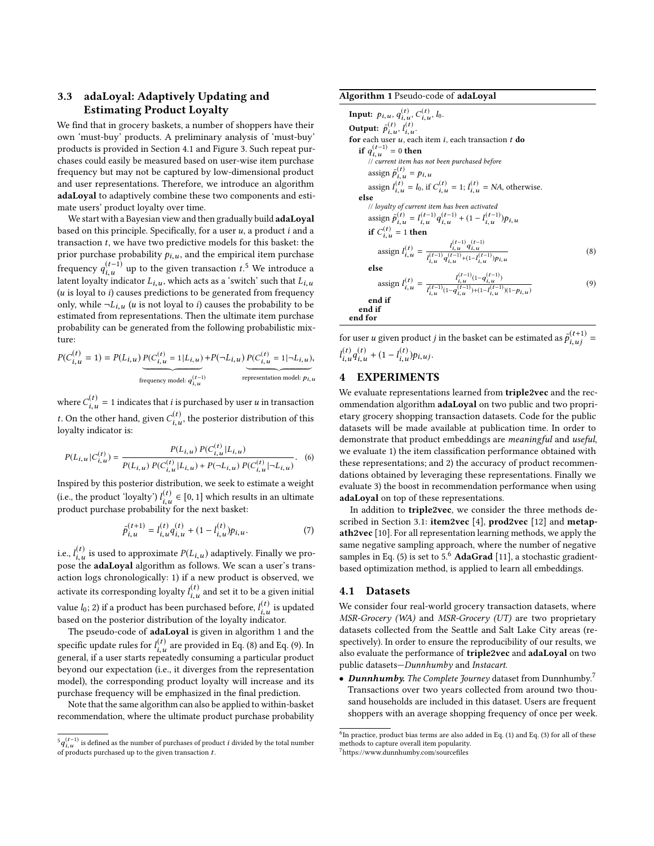# 3.3 adaLoyal: Adaptively Updating and Estimating Product Loyalty

We fnd that in grocery baskets, a number of shoppers have their own 'must-buy' products. A preliminary analysis of 'must-buy' products is provided in Section 4.1 and Figure 3. Such repeat purchases could easily be measured based on user-wise item purchase frequency but may not be captured by low-dimensional product and user representations. Therefore, we introduce an algorithm adaLoyal to adaptively combine these two components and estimate users' product loyalty over time.

We start with a Bayesian view and then gradually build **adaLoyal** based on this principle. Specifcally, for a user *u*, a product *i* and a transaction *t*, we have two predictive models for this basket: the prior purchase probability  $p_{i,u}$ , and the empirical item purchase frequency  $q_{i,u}^{(t-1)}$  up to the given transaction  $t$ <sup>5</sup>. We introduce a latent loyalty indicator  $L_{i,u}$ , which acts as a 'switch' such that  $L_{i,u}$ (*u* is loyal to *i*) causes predictions to be generated from frequency only, while  $\neg L_{i,u}$  (*u* is not loyal to *i*) causes the probability to be estimated from representations. Then the ultimate item purchase probability can be generated from the following probabilistic mixture:

$$
P(C_{i,u}^{(t)} = 1) = P(L_{i,u}) \underbrace{P(C_{i,u}^{(t)} = 1 | L_{i,u})}_{\text{frequency model: } q_{i,u}^{(t-1)}} + P(\neg L_{i,u}) \underbrace{P(C_{i,u}^{(t)} = 1 | \neg L_{i,u})}_{\text{representation model: } p_{i,u}},
$$

where  $C^{(t)}_{i,u} = 1$  indicates that *i* is purchased by user *u* in transaction *t*. On the other hand, given  $C^{(t)}_{i,u}$ , the posterior distribution of this loyalty indicator is:

$$
P(L_{i,u} | C_{i,u}^{(t)}) = \frac{P(L_{i,u}) P(C_{i,u}^{(t)} | L_{i,u})}{P(L_{i,u}) P(C_{i,u}^{(t)} | L_{i,u}) + P(\neg L_{i,u}) P(C_{i,u}^{(t)} | \neg L_{i,u})}.
$$
 (6)

Inspired by this posterior distribution, we seek to estimate a weight (i.e., the product 'loyalty')  $l_{i,u}^{(t)} \in [0,1]$  which results in an ultimate product purchase probability for the next basket:

$$
\tilde{p}_{i,u}^{(t+1)} = l_{i,u}^{(t)} q_{i,u}^{(t)} + (1 - l_{i,u}^{(t)}) p_{i,u}.
$$
\n(7)

i.e.,  $l_{i,u}^{(t)}$  is used to approximate  $P(L_{i,u})$  adaptively. Finally we propose the adaLoyal algorithm as follows. We scan a user's transaction logs chronologically: 1) if a new product is observed, we activate its corresponding loyalty  $l_{i,u}^{(t)}$  and set it to be a given initial value  $l_0$ ; 2) if a product has been purchased before,  $l_{i,u}^{(t)}$  is updated based on the posterior distribution of the loyalty indicator.

The pseudo-code of adaLoyal is given in algorithm 1 and the specific update rules for  $l_{i,u}^{(t)}$  are provided in Eq. (8) and Eq. (9). In general, if a user starts repeatedly consuming a particular product beyond our expectation (i.e., it diverges from the representation model), the corresponding product loyalty will increase and its purchase frequency will be emphasized in the fnal prediction.

Note that the same algorithm can also be applied to within-basket recommendation, where the ultimate product purchase probability

#### Algorithm 1 Pseudo-code of adaLoyal

Input:  $p_{i,u}$ ,  $q_{i,u}^{(t)}$ ,  $C_{i,u}^{(t)}$ ,  $l_0$ . Output:  $\tilde{p}_{i,u}^{(t)}, l_{i,u}^{(t)}$ . for each user *u*, each item *i*, each transaction *t* do **if**  $q_{i,u}^{(t-1)}$  = 0 **then**<br>// *current item has not been purchased before* assign  $\tilde{p}_{i,u}^{(t)} = p_{i,u}$ assign  $l_{i,u}^{(t)} = l_0$ , if  $C_{i,u}^{(t)} = 1$ ;  $l_{i,u}^{(t)} = NA$ , otherwise. else // *loyalty of current item has been activated* assign  $\tilde{p}_{i,u}^{(t)} = l_{i,u}^{(t-1)}q_{i,u}^{(t-1)} + (1 - l_{i,u}^{(t-1)})p_{i,u}$ if  $C_{i,u}^{(t)} = 1$  then assign  $l_{i,u}^{(t)} = \frac{l_{i,u}^{(t-1)}q_{i,u}^{(t-1)}}{l_{i,u}^{(t-1)}q_{i+1}^{(t-1)}q_{i+1}^{(t-1)}}$  $\overline{l}_{i,u}^{(t-1)}q_{i,u}^{(t-1)}+(1-l_{i,u}^{(t-1)})p_{i,u}$ (8) else assign  $l_{i,u}^{(t)} = \frac{l_{i,u}^{(t-1)}(1-q_{i,u}^{(t-1)})}{l_{i,u}^{(t-1)}(1-q_{i,u}^{(t-1)}) \cdot (1-l^{(t-1)})}$  $\frac{I_{i,u}^{(t-1)}(1-q_{i,u}^{(t-1)})+(1-I_{i,u}^{(t-1)})(1-p_{i,u})}{I_{i,u}^{(t-1)}(1-q_{i,u}^{(t-1)})+(1-I_{i,u}^{(t-1)})(1-p_{i,u})}$ (9) end if end if end for

for user *u* given product *j* in the basket can be estimated as  $\tilde{p}_{i,uj}^{(t+1)}$  =  $l_{i,u}^{(t)}q_{i,u}^{(t)} + (1 - l_{i,u}^{(t)})p_{i,uj}.$ 

# 4 EXPERIMENTS

We evaluate representations learned from triple2vec and the recommendation algorithm adaLoyal on two public and two proprietary grocery shopping transaction datasets. Code for the public datasets will be made available at publication time. In order to demonstrate that product embeddings are *meaningful* and *useful*, we evaluate 1) the item classifcation performance obtained with these representations; and 2) the accuracy of product recommendations obtained by leveraging these representations. Finally we evaluate 3) the boost in recommendation performance when using adaLoyal on top of these representations.

In addition to triple2vec, we consider the three methods described in Section 3.1: item2vec [4], prod2vec [12] and metapath2vec [10]. For all representation learning methods, we apply the same negative sampling approach, where the number of negative samples in Eq. (5) is set to 5.<sup>6</sup> AdaGrad [11], a stochastic gradientbased optimization method, is applied to learn all embeddings.

#### 4.1 Datasets

We consider four real-world grocery transaction datasets, where *MSR-Grocery (WA)* and *MSR-Grocery (UT)* are two proprietary datasets collected from the Seattle and Salt Lake City areas (respectively). In order to ensure the reproducibility of our results, we also evaluate the performance of triple2vec and adaLoyal on two public datasets—*Dunnhumby* and *Instacart*.

• *Dunnhumby. The Complete Journey* dataset from Dunnhumby.7 Transactions over two years collected from around two thousand households are included in this dataset. Users are frequent shoppers with an average shopping frequency of once per week.

 ${^5q}_{i,u}^{(t-1)}$  is defined as the number of purchases of product  $i$  divided by the total number of products purchased up to the given transaction *t*.

 $^6{\rm In}$  practice, product bias terms are also added in Eq. (1) and Eq. (3) for all of these methods to capture overall item popularity.

<sup>7</sup>https://www.dunnhumby.com/sourcefles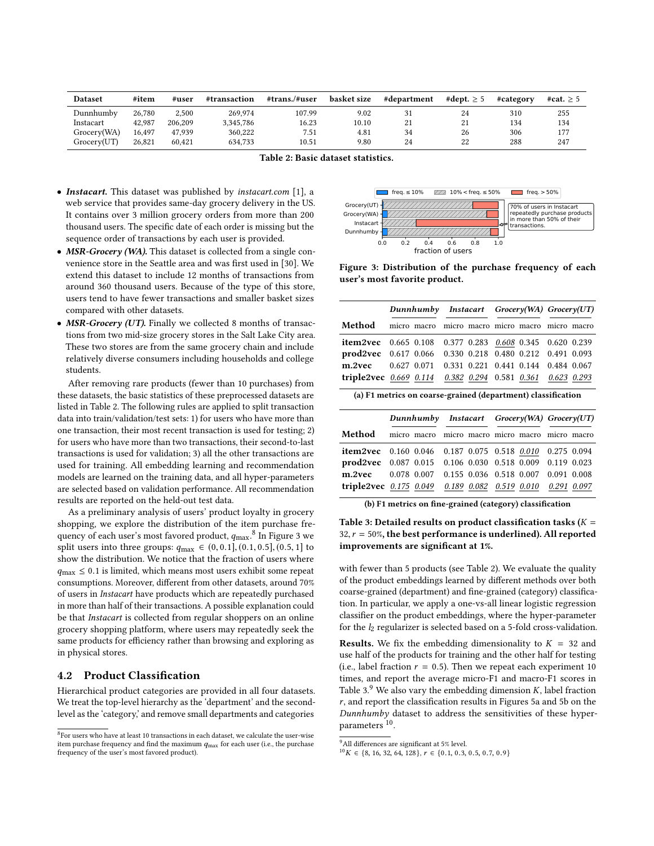| <b>Dataset</b> | #item  | #user   | #transaction | #trans./#user | basket size | #department | #dept. $> 5$ | #category | #cat. $> 5$ |
|----------------|--------|---------|--------------|---------------|-------------|-------------|--------------|-----------|-------------|
| Dunnhumby      | 26,780 | 2.500   | 269,974      | 107.99        | 9.02        |             | 24           | 310       | 255         |
| Instacart      | 42.987 | 206.209 | 3.345.786    | 16.23         | 10.10       | 21          | 21           | 134       | 134         |
| Grocery(WA)    | 16.497 | 47.939  | 360.222      | 7.51          | 4.81        | 34          | 26           | 306       | 177         |
| Grocery(UT)    | 26,821 | 60.421  | 634.733      | 10.51         | 9.80        | 24          | 22           | 288       | 247         |

| Table 2: Basic dataset statistics. |  |  |
|------------------------------------|--|--|
|------------------------------------|--|--|

- *Instacart.* This dataset was published by *instacart.com* [1], a web service that provides same-day grocery delivery in the US. It contains over 3 million grocery orders from more than 200 thousand users. The specifc date of each order is missing but the sequence order of transactions by each user is provided.
- *MSR-Grocery (WA)*. This dataset is collected from a single convenience store in the Seattle area and was frst used in [30]. We extend this dataset to include 12 months of transactions from around 360 thousand users. Because of the type of this store, users tend to have fewer transactions and smaller basket sizes compared with other datasets.
- *MSR-Grocery (UT)*. Finally we collected 8 months of transactions from two mid-size grocery stores in the Salt Lake City area. These two stores are from the same grocery chain and include relatively diverse consumers including households and college students.

After removing rare products (fewer than 10 purchases) from these datasets, the basic statistics of these preprocessed datasets are listed in Table 2. The following rules are applied to split transaction data into train/validation/test sets: 1) for users who have more than one transaction, their most recent transaction is used for testing; 2) for users who have more than two transactions, their second-to-last transactions is used for validation; 3) all the other transactions are used for training. All embedding learning and recommendation models are learned on the training data, and all hyper-parameters are selected based on validation performance. All recommendation results are reported on the held-out test data.

As a preliminary analysis of users' product loyalty in grocery shopping, we explore the distribution of the item purchase frequency of each user's most favored product, *q*max. <sup>8</sup> In Figure 3 we split users into three groups:  $q_{\text{max}}$  ∈ (0, 0.1], (0.1, 0.5], (0.5, 1] to show the distribution. We notice that the fraction of users where  $q_{\text{max}} \leq 0.1$  is limited, which means most users exhibit some repeat consumptions. Moreover, diferent from other datasets, around 70% of users in *Instacart* have products which are repeatedly purchased in more than half of their transactions. A possible explanation could be that *Instacart* is collected from regular shoppers on an online grocery shopping platform, where users may repeatedly seek the same products for efficiency rather than browsing and exploring as in physical stores.

## 4.2 Product Classifcation

Hierarchical product categories are provided in all four datasets. We treat the top-level hierarchy as the 'department' and the secondlevel as the 'category,' and remove small departments and categories



Figure 3: Distribution of the purchase frequency of each user's most favorite product.

|                                                                 | Dunnhumby Instacart Grocery(WA) Grocery(UT) |  |  |  |
|-----------------------------------------------------------------|---------------------------------------------|--|--|--|
| <b>Method</b> micro macro micro macro micro macro micro macro   |                                             |  |  |  |
| item2vec 0.665 0.108 0.377 0.283 0.608 0.345 0.620 0.239        |                                             |  |  |  |
| <b>prod2vec</b> 0.617 0.066 0.330 0.218 0.480 0.212 0.491 0.093 |                                             |  |  |  |
| m.2vec 0.627 0.071 0.331 0.221 0.441 0.144 0.484 0.067          |                                             |  |  |  |
| triple2vec 0.669 0.114 0.382 0.294 0.581 0.361 0.623 0.293      |                                             |  |  |  |

| (a) F1 metrics on coarse-grained (department) classification |  |  |  |
|--------------------------------------------------------------|--|--|--|
|--------------------------------------------------------------|--|--|--|

|                                                            | Dunnhumby Instacart Grocery(WA) Grocery(UT)     |  |  |  |
|------------------------------------------------------------|-------------------------------------------------|--|--|--|
| Method                                                     | micro macro micro macro micro macro micro macro |  |  |  |
| item2vec 0.160 0.046 0.187 0.075 0.518 0.010 0.275 0.094   |                                                 |  |  |  |
| prod2vec 0.087 0.015 0.106 0.030 0.518 0.009 0.119 0.023   |                                                 |  |  |  |
| m.2yec 0.078 0.007 0.155 0.036 0.518 0.007 0.091 0.008     |                                                 |  |  |  |
| triple2vec 0.175 0.049 0.189 0.082 0.519 0.010 0.291 0.097 |                                                 |  |  |  |

(b) F1 metrics on fne-grained (category) classifcation

Table 3: Detailed results on product classifcation tasks (*K* =  $32, r = 50\%$ , the best performance is underlined). All reported improvements are signifcant at 1%.

with fewer than 5 products (see Table 2). We evaluate the quality of the product embeddings learned by diferent methods over both coarse-grained (department) and fne-grained (category) classifcation. In particular, we apply a one-vs-all linear logistic regression classifer on the product embeddings, where the hyper-parameter for the *l*2 regularizer is selected based on a 5-fold cross-validation.

**Results.** We fix the embedding dimensionality to  $K = 32$  and use half of the products for training and the other half for testing (i.e., label fraction  $r = 0.5$ ). Then we repeat each experiment 10 times, and report the average micro-F1 and macro-F1 scores in Table 3. $9$  We also vary the embedding dimension *K*, label fraction *r*, and report the classifcation results in Figures 5a and 5b on the *Dunnhumby* dataset to address the sensitivities of these hyperparameters 10.

 ${}^{8}$ For users who have at least 10 transactions in each dataset, we calculate the user-wise item purchase frequency and fnd the maximum *q*max for each user (i.e., the purchase frequency of the user's most favored product).

 $^9\mbox{All differences}$  are significant at 5% level.

 $10K \in \{8, 16, 32, 64, 128\}, r \in \{0.1, 0.3, 0.5, 0.7, 0.9\}$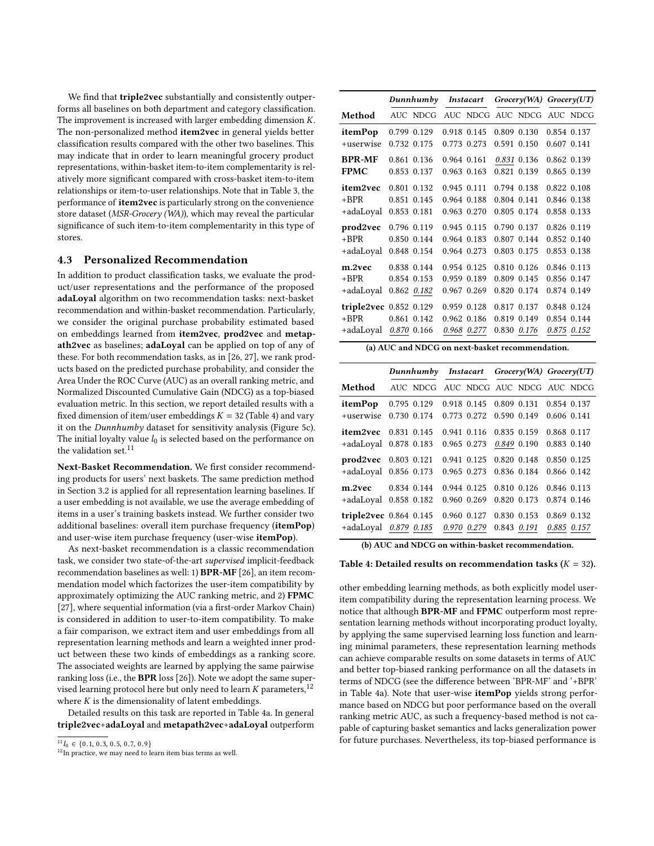We fnd that triple2vec substantially and consistently outperforms all baselines on both department and category classifcation. The improvement is increased with larger embedding dimension *K*. The non-personalized method item2vec in general yields better classifcation results compared with the other two baselines. This may indicate that in order to learn meaningful grocery product representations, within-basket item-to-item complementarity is relatively more signifcant compared with cross-basket item-to-item relationships or item-to-user relationships. Note that in Table 3, the performance of item2vec is particularly strong on the convenience store dataset (*MSR-Grocery (WA)*), which may reveal the particular signifcance of such item-to-item complementarity in this type of stores.

## 4.3 Personalized Recommendation

In addition to product classifcation tasks, we evaluate the product/user representations and the performance of the proposed adaLoyal algorithm on two recommendation tasks: next-basket recommendation and within-basket recommendation. Particularly, we consider the original purchase probability estimated based on embeddings learned from item2vec, prod2vec and metapath2vec as baselines; adaLoyal can be applied on top of any of these. For both recommendation tasks, as in [26, 27], we rank products based on the predicted purchase probability, and consider the Area Under the ROC Curve (AUC) as an overall ranking metric, and Normalized Discounted Cumulative Gain (NDCG) as a top-biased evaluation metric. In this section, we report detailed results with a fixed dimension of item/user embeddings  $K = 32$  (Table 4) and vary it on the *Dunnhumby* dataset for sensitivity analysis (Figure 5c). The initial loyalty value *l*<sub>0</sub> is selected based on the performance on the validation set.  $^{\rm 11}$ 

Next-Basket Recommendation. We frst consider recommending products for users' next baskets. The same prediction method in Section 3.2 is applied for all representation learning baselines. If a user embedding is not available, we use the average embedding of items in a user's training baskets instead. We further consider two additional baselines: overall item purchase frequency (itemPop) and user-wise item purchase frequency (user-wise itemPop).

As next-basket recommendation is a classic recommendation task, we consider two state-of-the-art *supervised* implicit-feedback recommendation baselines as well: 1) BPR-MF [26], an item recommendation model which factorizes the user-item compatibility by approximately optimizing the AUC ranking metric, and 2) FPMC [27], where sequential information (via a first-order Markov Chain) is considered in addition to user-to-item compatibility. To make a fair comparison, we extract item and user embeddings from all representation learning methods and learn a weighted inner product between these two kinds of embeddings as a ranking score. The associated weights are learned by applying the same pairwise ranking loss (i.e., the BPR loss [26]). Note we adopt the same supervised learning protocol here but only need to learn  $K$  parameters,  $12$ where  $K$  is the dimensionality of latent embeddings.

Detailed results on this task are reported in Table 4a. In general triple2vec+adaLoyal and metapath2vec+adaLoyal outperform

|                               | Dunnhumby       | <b>Instacart</b> | Grocerv(WA) Grocerv(UT) |             |
|-------------------------------|-----------------|------------------|-------------------------|-------------|
| Method                        | AUC NDCG        | AUC NDCG         | AUC NDCG                | AUC NDCG    |
| itemPop                       | 0.799 0.129     | 0.918 0.145      | 0.809 0.130             | 0.854 0.137 |
| +userwise                     | 0.732 0.175     | 0.773 0.273      | 0.591 0.150             | 0.607 0.141 |
| <b>BPR-MF</b>                 | 0.861 0.136     | 0.964 0.161      | 0.831 0.136             | 0.862 0.139 |
| <b>FPMC</b>                   | 0.853 0.137     | 0.963 0.163      | 0.821 0.139             | 0.865 0.139 |
| item2vec                      | 0.801 0.132     | 0.945 0.111      | 0.794 0.138             | 0.822 0.108 |
| $+$ BPR                       | 0.851 0.145     | 0.964 0.188      | 0.804 0.141             | 0.846 0.138 |
| +adaLoyal                     | 0.853 0.181     | 0.963 0.270      | 0.805 0.174             | 0.858 0.133 |
| prod2vec                      | 0.796 0.119     | 0.945 0.115      | 0.790 0.137             | 0.826 0.119 |
| $+$ BPR                       | 0.850 0.144     | 0.964 0.183      | 0.807 0.144             | 0.852 0.140 |
| +adaLoval                     | 0.848 0.154     | 0.964 0.273      | 0.803 0.175             | 0.853 0.138 |
| m.2vec                        | 0.838 0.144     | 0.954 0.125      | 0.810 0.126             | 0.846 0.113 |
| $+$ BPR                       | 0.854 0.153     | 0.959 0.189      | 0.809 0.145             | 0.856 0.147 |
| +adaLoyal                     | $0.862$ $0.182$ | 0.967 0.269      | 0.820 0.174             | 0.874 0.149 |
| <b>triple2vec</b> 0.852 0.129 |                 | 0.959 0.128      | 0.817 0.137             | 0.848 0.124 |
| $+BPR$                        | 0.861 0.142     | 0.962 0.186      | 0.819 0.149             | 0.854 0.144 |
| +adaLoyal 0.870 0.166         |                 | 0.968 0.277      | 0.830 0.176             | 0.875 0.152 |

(a) AUC and NDCG on next-basket recommendation.

|                                                        | Dunnhumby                  |                            |             | <i>Instacart Grocery(WA) Grocery(UT)</i> |                            |
|--------------------------------------------------------|----------------------------|----------------------------|-------------|------------------------------------------|----------------------------|
| Method                                                 | AUC NDCG                   |                            |             | AUC NDCG AUC NDCG AUC NDCG               |                            |
| itemPop<br>+userwise                                   | 0.795 0.129<br>0.730 0.174 | 0.918 0.145<br>0.773 0.272 | 0.809 0.131 | 0.590 0.149                              | 0.854 0.137<br>0.606 0.141 |
| item2vec<br>+adaLoyal 0.878 0.183                      | 0.831 0.145                | 0.941 0.116<br>0.965 0.273 |             | 0.835 0.159<br>0.849 0.190               | 0.868 0.117<br>0.883 0.140 |
| <b>prod2vec</b> 0.803 0.121<br>$+adaloyal$ 0.856 0.173 |                            | 0.941 0.125<br>0.965 0.273 |             | 0.820 0.148<br>0.836 0.184               | 0.850 0.125<br>0.866 0.142 |
| m.2vec<br>+adaLoyal 0.858 0.182                        | 0.834 0.144                | 0.944 0.125<br>0.960 0.269 |             | 0.810 0.126<br>0.820 0.173               | 0.846 0.113<br>0.874 0.146 |
| triple2vec $0.864$ 0.145<br>+adaLoyal 0.879 0.185      |                            | 0.960 0.127<br>0.970 0.279 | 0.843 0.191 | 0.830 0.153                              | 0.869 0.132<br>0.885 0.157 |

(b) AUC and NDCG on within-basket recommendation.

#### Table 4: Detailed results on recommendation tasks  $(K = 32)$ .

other embedding learning methods, as both explicitly model useritem compatibility during the representation learning process. We notice that although BPR-MF and FPMC outperform most representation learning methods without incorporating product loyalty, by applying the same supervised learning loss function and learning minimal parameters, these representation learning methods can achieve comparable results on some datasets in terms of AUC and better top-biased ranking performance on all the datasets in terms of NDCG (see the diference between 'BPR-MF' and '+BPR' in Table 4a). Note that user-wise itemPop yields strong performance based on NDCG but poor performance based on the overall ranking metric AUC, as such a frequency-based method is not capable of capturing basket semantics and lacks generalization power for future purchases. Nevertheless, its top-biased performance is

 $^{11}l_0\in\{0.1,\,0.3,\,0.5,\,0.7,\,0.9\}$ <br> $^{12}{\rm In\, practice, we\ may\ need\ to\ learn\ item\ bias\ terms\ as\ well.}$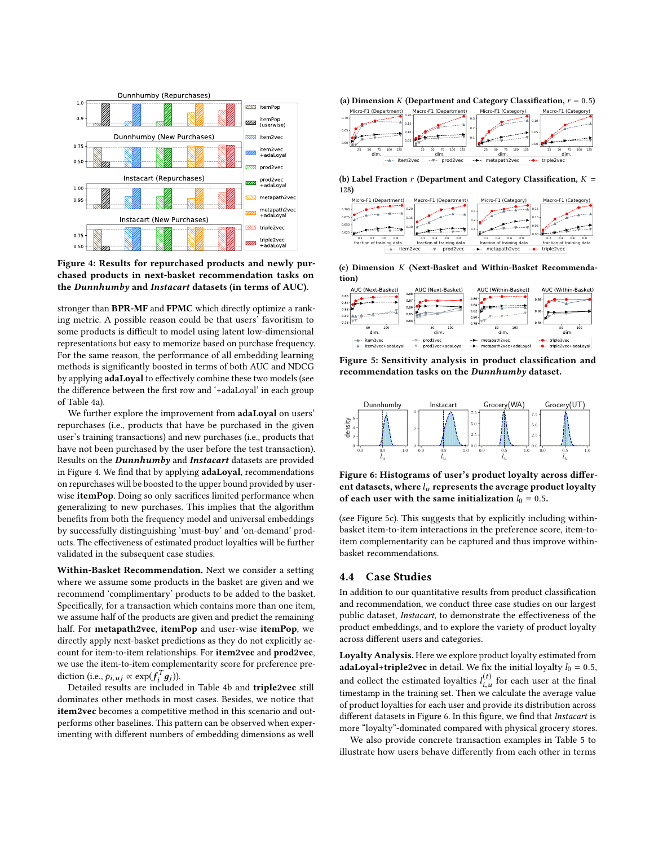

Figure 4: Results for repurchased products and newly purchased products in next-basket recommendation tasks on the *Dunnhumby* and *Instacart* datasets (in terms of AUC).

stronger than BPR-MF and FPMC which directly optimize a ranking metric. A possible reason could be that users' favoritism to some products is difficult to model using latent low-dimensional representations but easy to memorize based on purchase frequency. For the same reason, the performance of all embedding learning methods is signifcantly boosted in terms of both AUC and NDCG by applying adaLoyal to effectively combine these two models (see the diference between the frst row and '+adaLoyal' in each group of Table 4a).

We further explore the improvement from **adaLoyal** on users' repurchases (i.e., products that have be purchased in the given user's training transactions) and new purchases (i.e., products that have not been purchased by the user before the test transaction). Results on the *Dunnhumby* and *Instacart* datasets are provided in Figure 4. We fnd that by applying adaLoyal, recommendations on repurchases will be boosted to the upper bound provided by userwise **itemPop**. Doing so only sacrifices limited performance when generalizing to new purchases. This implies that the algorithm benefts from both the frequency model and universal embeddings by successfully distinguishing 'must-buy' and 'on-demand' products. The efectiveness of estimated product loyalties will be further validated in the subsequent case studies.

Within-Basket Recommendation. Next we consider a setting where we assume some products in the basket are given and we recommend 'complimentary' products to be added to the basket. Specifcally, for a transaction which contains more than one item, we assume half of the products are given and predict the remaining half. For metapath2vec, itemPop and user-wise itemPop, we directly apply next-basket predictions as they do not explicitly account for item-to-item relationships. For item2vec and prod2vec, we use the item-to-item complementarity score for preference prediction (i.e.,  $p_{i,uj} \propto \exp(f_i^T g_j)$ ).

Detailed results are included in Table 4b and triple2vec still dominates other methods in most cases. Besides, we notice that item2vec becomes a competitive method in this scenario and outperforms other baselines. This pattern can be observed when experimenting with diferent numbers of embedding dimensions as well





(b) Label Fraction *r* (Department and Category Classifcation, *K* = 128)



(c) Dimension *K* (Next-Basket and Within-Basket Recommendation)



Figure 5: Sensitivity analysis in product classifcation and recommendation tasks on the *Dunnhumby* dataset.



Figure 6: Histograms of user's product loyalty across diferent datasets, where *lu* represents the average product loyalty of each user with the same initialization  $l_0 = 0.5$ .

(see Figure 5c). This suggests that by explicitly including withinbasket item-to-item interactions in the preference score, item-toitem complementarity can be captured and thus improve withinbasket recommendations.

#### 4.4 Case Studies

In addition to our quantitative results from product classifcation and recommendation, we conduct three case studies on our largest public dataset, *Instacart*, to demonstrate the effectiveness of the product embeddings, and to explore the variety of product loyalty across diferent users and categories.

Loyalty Analysis. Here we explore product loyalty estimated from adaLoyal+triple2vec in detail. We fix the initial loyalty  $l_0 = 0.5$ , and collect the estimated loyalties  $l_{i,u}^{(t)}$  for each user at the final timestamp in the training set. Then we calculate the average value of product loyalties for each user and provide its distribution across diferent datasets in Figure 6. In this fgure, we fnd that *Instacart* is more "loyalty"-dominated compared with physical grocery stores.

We also provide concrete transaction examples in Table 5 to illustrate how users behave diferently from each other in terms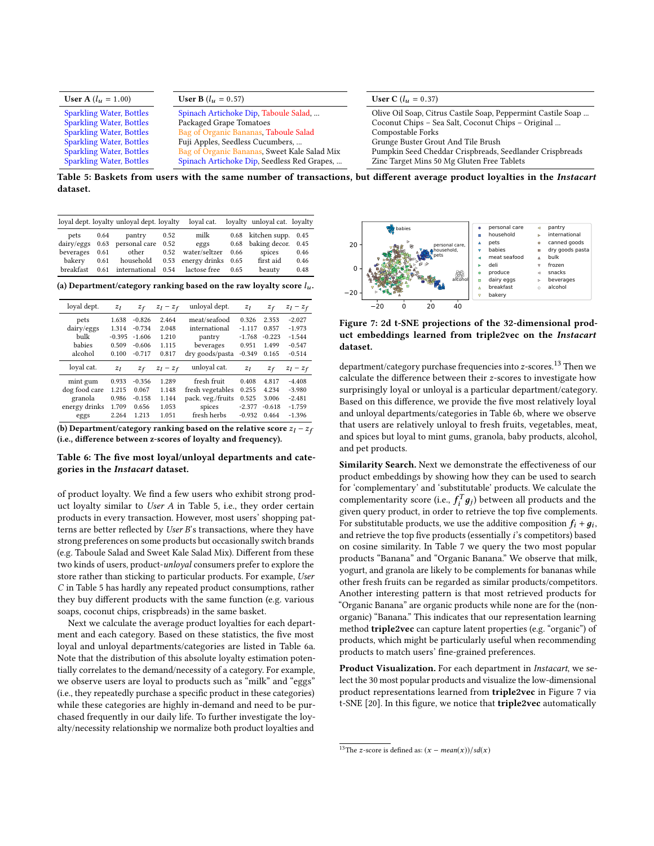| <b>User A</b> $(l_u = 1.00)$    | <b>User B</b> $(l_u = 0.57)$                 | <b>User C</b> ( $l_u = 0.37$ )                               |
|---------------------------------|----------------------------------------------|--------------------------------------------------------------|
| <b>Sparkling Water, Bottles</b> | Spinach Artichoke Dip, Taboule Salad,        | Olive Oil Soap, Citrus Castile Soap, Peppermint Castile Soap |
| <b>Sparkling Water, Bottles</b> | Packaged Grape Tomatoes                      | Coconut Chips - Sea Salt, Coconut Chips - Original           |
| <b>Sparkling Water, Bottles</b> | Bag of Organic Bananas, Taboule Salad        | Compostable Forks                                            |
| <b>Sparkling Water, Bottles</b> | Fuji Apples, Seedless Cucumbers,             | Grunge Buster Grout And Tile Brush                           |
| <b>Sparkling Water, Bottles</b> | Bag of Organic Bananas, Sweet Kale Salad Mix | Pumpkin Seed Cheddar Crispbreads, Seedlander Crispbreads     |
| <b>Sparkling Water, Bottles</b> | Spinach Artichoke Dip, Seedless Red Grapes,  | Zinc Target Mins 50 Mg Gluten Free Tablets                   |

Table 5: Baskets from users with the same number of transactions, but diferent average product loyalties in the *Instacart* dataset.

|             |      | loyal dept. loyalty unloyal dept. loyalty loyal cat. loyalty unloyal cat. loyalty |      |                    |      |                         |      |
|-------------|------|-----------------------------------------------------------------------------------|------|--------------------|------|-------------------------|------|
| pets 0.64   |      | pantry                                                                            | 0.52 | milk               |      | 0.68 kitchen supp. 0.45 |      |
|             |      | dairy/eggs 0.63 personal care                                                     | 0.52 | eggs               |      | 0.68 baking decor. 0.45 |      |
| beverages   | 0.61 | other 0.52                                                                        |      | water/seltzer 0.66 |      | spices                  | 0.46 |
| bakery 0.61 |      | household 0.53 energy drinks 0.65                                                 |      |                    |      | first aid               | 0.46 |
| breakfast   |      | 0.61 international                                                                |      | 0.54 lactose free  | 0.65 | beauty                  | 0.48 |

(a) Department/category ranking based on the raw loyalty score *lu* .

| loyal dept.   | $z_l$    | $z_f$    | $z_l - z_f$ | unloyal dept.     | $z_l$    | $z_f$    | $z_l - z_f$ |
|---------------|----------|----------|-------------|-------------------|----------|----------|-------------|
| pets          | 1.638    | $-0.826$ | 2.464       | meat/seafood      | 0.326    | 2.353    | $-2.027$    |
| dairy/eggs    | 1.314    | $-0.734$ | 2.048       | international     | $-1.117$ | 0.857    | $-1.973$    |
| bulk          | $-0.395$ | $-1.606$ | 1.210       | pantry            | $-1.768$ | $-0.223$ | $-1.544$    |
| babies        | 0.509    | $-0.606$ | 1.115       | beverages         | 0.951    | 1.499    | $-0.547$    |
| alcohol       | 0.100    | $-0.717$ | 0.817       | dry goods/pasta   | $-0.349$ | 0.165    | $-0.514$    |
| loval cat.    | $z_l$    | $z_f$    | $z_l - z_f$ | unloval cat.      | $z_l$    | $z_f$    | $z_l - z_f$ |
| mint gum      | 0.933    | $-0.356$ | 1.289       | fresh fruit       | 0.408    | 4.817    | $-4.408$    |
| dog food care | 1.215    | 0.067    | 1.148       | fresh vegetables  | 0.255    | 4.234    | $-3.980$    |
| granola       | 0.986    | $-0.158$ | 1.144       | pack. veg./fruits | 0.525    | 3.006    | $-2.481$    |
| energy drinks | 1.709    | 0.656    | 1.053       | spices            | $-2.377$ | $-0.618$ | $-1.759$    |
| eggs          | 2.264    | 1.213    | 1.051       | fresh herbs       | $-0.932$ | 0.464    | $-1.396$    |

(b) Department/category ranking based on the relative score  $z_l - z_f$ (i.e., diference between z-scores of loyalty and frequency).

### Table 6: The fve most loyal/unloyal departments and categories in the *Instacart* dataset.

of product loyalty. We fnd a few users who exhibit strong product loyalty similar to *User A* in Table 5, i.e., they order certain products in every transaction. However, most users' shopping patterns are better refected by *User B*'s transactions, where they have strong preferences on some products but occasionally switch brands (e.g. Taboule Salad and Sweet Kale Salad Mix). Diferent from these two kinds of users, product-*unloyal* consumers prefer to explore the store rather than sticking to particular products. For example, *User C* in Table 5 has hardly any repeated product consumptions, rather they buy diferent products with the same function (e.g. various soaps, coconut chips, crispbreads) in the same basket.

Next we calculate the average product loyalties for each department and each category. Based on these statistics, the fve most loyal and unloyal departments/categories are listed in Table 6a. Note that the distribution of this absolute loyalty estimation potentially correlates to the demand/necessity of a category. For example, we observe users are loyal to products such as "milk" and "eggs" (i.e., they repeatedly purchase a specifc product in these categories) while these categories are highly in-demand and need to be purchased frequently in our daily life. To further investigate the loyalty/necessity relationship we normalize both product loyalties and



Figure 7: 2d t-SNE projections of the 32-dimensional product embeddings learned from triple2vec on the *Instacart* dataset.

department/category purchase frequencies into *z*-scores.13 Then we calculate the diference between their *z*-scores to investigate how surprisingly loyal or unloyal is a particular department/category. Based on this diference, we provide the fve most relatively loyal and unloyal departments/categories in Table 6b, where we observe that users are relatively unloyal to fresh fruits, vegetables, meat, and spices but loyal to mint gums, granola, baby products, alcohol, and pet products.

Similarity Search. Next we demonstrate the effectiveness of our product embeddings by showing how they can be used to search for 'complementary' and 'substitutable' products. We calculate the complementarity score (i.e.,  $f_i^T g_j$ ) between all products and the given query product, in order to retrieve the top five complements. For substitutable products, we use the additive composition  $f_i + g_i$ , and retrieve the top fve products (essentially *i*'s competitors) based on cosine similarity. In Table 7 we query the two most popular products "Banana" and "Organic Banana." We observe that milk, yogurt, and granola are likely to be complements for bananas while other fresh fruits can be regarded as similar products/competitors. Another interesting pattern is that most retrieved products for "Organic Banana" are organic products while none are for the (nonorganic) "Banana." This indicates that our representation learning method **triple2vec** can capture latent properties (e.g. "organic") of products, which might be particularly useful when recommending products to match users' fne-grained preferences.

Product Visualization. For each department in *Instacart*, we select the 30 most popular products and visualize the low-dimensional product representations learned from triple2vec in Figure 7 via t-SNE [20]. In this fgure, we notice that triple2vec automatically

 $\frac{13}{13}$ The *z*-score is defined as:  $(x - mean(x))/sd(x)$